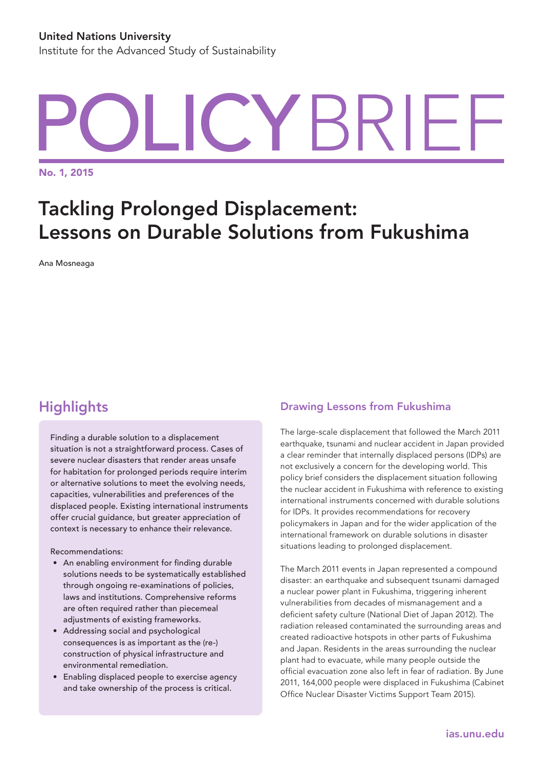# YBRIFI.

No. 1, 2015

# Tackling Prolonged Displacement: Lessons on Durable Solutions from Fukushima

Ana Mosneaga

# **Highlights**

Finding a durable solution to a displacement situation is not a straightforward process. Cases of severe nuclear disasters that render areas unsafe for habitation for prolonged periods require interim or alternative solutions to meet the evolving needs, capacities, vulnerabilities and preferences of the displaced people. Existing international instruments offer crucial guidance, but greater appreciation of context is necessary to enhance their relevance.

Recommendations:

- • An enabling environment for finding durable solutions needs to be systematically established through ongoing re-examinations of policies, laws and institutions. Comprehensive reforms are often required rather than piecemeal adjustments of existing frameworks.
- Addressing social and psychological consequences is as important as the (re-) construction of physical infrastructure and environmental remediation.
- Enabling displaced people to exercise agency and take ownership of the process is critical.

# Drawing Lessons from Fukushima

The large-scale displacement that followed the March 2011 earthquake, tsunami and nuclear accident in Japan provided a clear reminder that internally displaced persons (IDPs) are not exclusively a concern for the developing world. This policy brief considers the displacement situation following the nuclear accident in Fukushima with reference to existing international instruments concerned with durable solutions for IDPs. It provides recommendations for recovery policymakers in Japan and for the wider application of the international framework on durable solutions in disaster situations leading to prolonged displacement.

The March 2011 events in Japan represented a compound disaster: an earthquake and subsequent tsunami damaged a nuclear power plant in Fukushima, triggering inherent vulnerabilities from decades of mismanagement and a deficient safety culture (National Diet of Japan 2012). The radiation released contaminated the surrounding areas and created radioactive hotspots in other parts of Fukushima and Japan. Residents in the areas surrounding the nuclear plant had to evacuate, while many people outside the official evacuation zone also left in fear of radiation. By June 2011, 164,000 people were displaced in Fukushima (Cabinet Office Nuclear Disaster Victims Support Team 2015).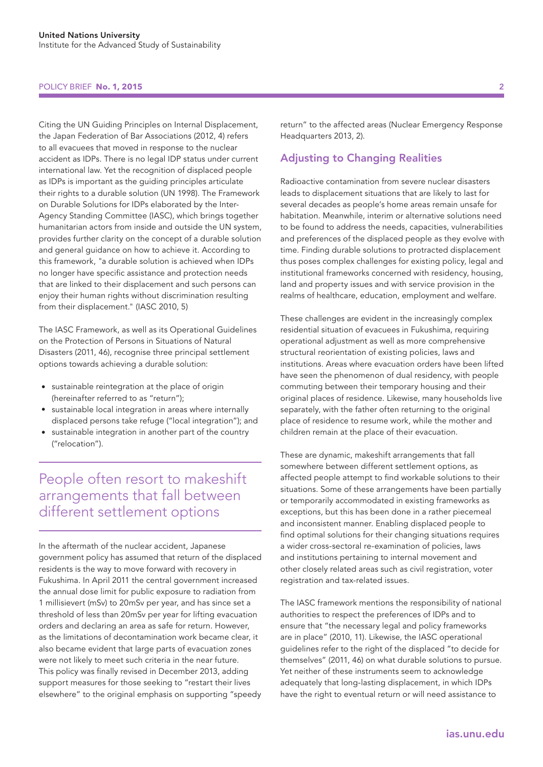#### POLICY BRIEF **No. 1, 2015** 2

Citing the UN Guiding Principles on Internal Displacement, the Japan Federation of Bar Associations (2012, 4) refers to all evacuees that moved in response to the nuclear accident as IDPs. There is no legal IDP status under current international law. Yet the recognition of displaced people as IDPs is important as the guiding principles articulate their rights to a durable solution (UN 1998). The Framework on Durable Solutions for IDPs elaborated by the Inter-Agency Standing Committee (IASC), which brings together humanitarian actors from inside and outside the UN system, provides further clarity on the concept of a durable solution and general guidance on how to achieve it. According to this framework, "a durable solution is achieved when IDPs no longer have specific assistance and protection needs that are linked to their displacement and such persons can enjoy their human rights without discrimination resulting from their displacement." (IASC 2010, 5)

The IASC Framework, as well as its Operational Guidelines on the Protection of Persons in Situations of Natural Disasters (2011, 46), recognise three principal settlement options towards achieving a durable solution:

- sustainable reintegration at the place of origin (hereinafter referred to as "return");
- sustainable local integration in areas where internally displaced persons take refuge ("local integration"); and
- sustainable integration in another part of the country ("relocation").

People often resort to makeshift arrangements that fall between different settlement options

In the aftermath of the nuclear accident, Japanese government policy has assumed that return of the displaced residents is the way to move forward with recovery in Fukushima. In April 2011 the central government increased the annual dose limit for public exposure to radiation from 1 millisievert (mSv) to 20mSv per year, and has since set a threshold of less than 20mSv per year for lifting evacuation orders and declaring an area as safe for return. However, as the limitations of decontamination work became clear, it also became evident that large parts of evacuation zones were not likely to meet such criteria in the near future. This policy was finally revised in December 2013, adding support measures for those seeking to "restart their lives elsewhere" to the original emphasis on supporting "speedy return" to the affected areas (Nuclear Emergency Response Headquarters 2013, 2).

# Adjusting to Changing Realities

Radioactive contamination from severe nuclear disasters leads to displacement situations that are likely to last for several decades as people's home areas remain unsafe for habitation. Meanwhile, interim or alternative solutions need to be found to address the needs, capacities, vulnerabilities and preferences of the displaced people as they evolve with time. Finding durable solutions to protracted displacement thus poses complex challenges for existing policy, legal and institutional frameworks concerned with residency, housing, land and property issues and with service provision in the realms of healthcare, education, employment and welfare.

These challenges are evident in the increasingly complex residential situation of evacuees in Fukushima, requiring operational adjustment as well as more comprehensive structural reorientation of existing policies, laws and institutions. Areas where evacuation orders have been lifted have seen the phenomenon of dual residency, with people commuting between their temporary housing and their original places of residence. Likewise, many households live separately, with the father often returning to the original place of residence to resume work, while the mother and children remain at the place of their evacuation.

These are dynamic, makeshift arrangements that fall somewhere between different settlement options, as affected people attempt to find workable solutions to their situations. Some of these arrangements have been partially or temporarily accommodated in existing frameworks as exceptions, but this has been done in a rather piecemeal and inconsistent manner. Enabling displaced people to find optimal solutions for their changing situations requires a wider cross-sectoral re-examination of policies, laws and institutions pertaining to internal movement and other closely related areas such as civil registration, voter registration and tax-related issues.

The IASC framework mentions the responsibility of national authorities to respect the preferences of IDPs and to ensure that "the necessary legal and policy frameworks are in place" (2010, 11). Likewise, the IASC operational guidelines refer to the right of the displaced "to decide for themselves" (2011, 46) on what durable solutions to pursue. Yet neither of these instruments seem to acknowledge adequately that long-lasting displacement, in which IDPs have the right to eventual return or will need assistance to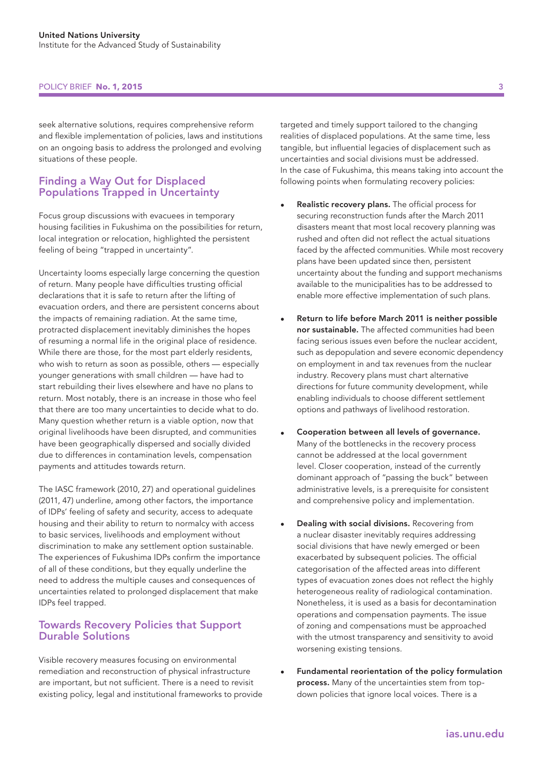### POLICY BRIEF **No. 1, 2015**

seek alternative solutions, requires comprehensive reform and flexible implementation of policies, laws and institutions on an ongoing basis to address the prolonged and evolving situations of these people.

# Finding a Way Out for Displaced Populations Trapped in Uncertainty

Focus group discussions with evacuees in temporary housing facilities in Fukushima on the possibilities for return, local integration or relocation, highlighted the persistent feeling of being "trapped in uncertainty".

Uncertainty looms especially large concerning the question of return. Many people have difficulties trusting official declarations that it is safe to return after the lifting of evacuation orders, and there are persistent concerns about the impacts of remaining radiation. At the same time, protracted displacement inevitably diminishes the hopes of resuming a normal life in the original place of residence. While there are those, for the most part elderly residents, who wish to return as soon as possible, others — especially younger generations with small children — have had to start rebuilding their lives elsewhere and have no plans to return. Most notably, there is an increase in those who feel that there are too many uncertainties to decide what to do. Many question whether return is a viable option, now that original livelihoods have been disrupted, and communities have been geographically dispersed and socially divided due to differences in contamination levels, compensation payments and attitudes towards return.

The IASC framework (2010, 27) and operational guidelines (2011, 47) underline, among other factors, the importance of IDPs' feeling of safety and security, access to adequate housing and their ability to return to normalcy with access to basic services, livelihoods and employment without discrimination to make any settlement option sustainable. The experiences of Fukushima IDPs confirm the importance of all of these conditions, but they equally underline the need to address the multiple causes and consequences of uncertainties related to prolonged displacement that make IDPs feel trapped.

## Towards Recovery Policies that Support Durable Solutions

Visible recovery measures focusing on environmental remediation and reconstruction of physical infrastructure are important, but not sufficient. There is a need to revisit existing policy, legal and institutional frameworks to provide targeted and timely support tailored to the changing realities of displaced populations. At the same time, less tangible, but influential legacies of displacement such as uncertainties and social divisions must be addressed. In the case of Fukushima, this means taking into account the following points when formulating recovery policies:

- Realistic recovery plans. The official process for securing reconstruction funds after the March 2011 disasters meant that most local recovery planning was rushed and often did not reflect the actual situations faced by the affected communities. While most recovery plans have been updated since then, persistent uncertainty about the funding and support mechanisms available to the municipalities has to be addressed to enable more effective implementation of such plans.
- Return to life before March 2011 is neither possible nor sustainable. The affected communities had been facing serious issues even before the nuclear accident, such as depopulation and severe economic dependency on employment in and tax revenues from the nuclear industry. Recovery plans must chart alternative directions for future community development, while enabling individuals to choose different settlement options and pathways of livelihood restoration.
- Cooperation between all levels of governance. Many of the bottlenecks in the recovery process cannot be addressed at the local government level. Closer cooperation, instead of the currently dominant approach of "passing the buck" between administrative levels, is a prerequisite for consistent and comprehensive policy and implementation.
- Dealing with social divisions. Recovering from a nuclear disaster inevitably requires addressing social divisions that have newly emerged or been exacerbated by subsequent policies. The official categorisation of the affected areas into different types of evacuation zones does not reflect the highly heterogeneous reality of radiological contamination. Nonetheless, it is used as a basis for decontamination operations and compensation payments. The issue of zoning and compensations must be approached with the utmost transparency and sensitivity to avoid worsening existing tensions.
- Fundamental reorientation of the policy formulation process. Many of the uncertainties stem from topdown policies that ignore local voices. There is a